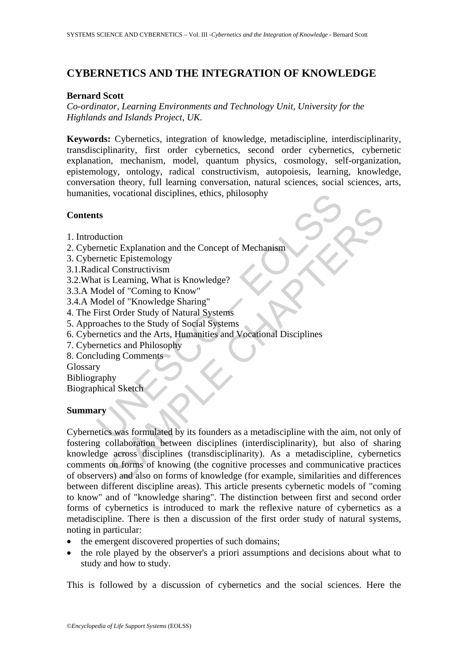# **CYBERNETICS AND THE INTEGRATION OF KNOWLEDGE**

#### **Bernard Scott**

*Co-ordinator, Learning Environments and Technology Unit, University for the Highlands and Islands Project, UK.* 

**Keywords:** Cybernetics, integration of knowledge, metadiscipline, interdisciplinarity, transdisciplinarity, first order cybernetics, second order cybernetics, cybernetic explanation, mechanism, model, quantum physics, cosmology, self-organization, epistemology, ontology, radical constructivism, autopoiesis, learning, knowledge, conversation theory, full learning conversation, natural sciences, social sciences, arts, humanities, vocational disciplines, ethics, philosophy

## **Contents**

- 1. Introduction
- 2. Cybernetic Explanation and the Concept of Mechanism
- 3. Cybernetic Epistemology
- 3.1.Radical Constructivism
- 3.2.What is Learning, What is Knowledge?
- 3.3.A Model of "Coming to Know"
- 3.4.A Model of "Knowledge Sharing"
- 4. The First Order Study of Natural Systems
- 5. Approaches to the Study of Social Systems
- 6. Cybernetics and the Arts, Humanities and Vocational Disciplines
- 7. Cybernetics and Philosophy
- 8. Concluding Comments

Glossary

Bibliography

Biographical Sketch

## **Summary**

Explanation and the Concept of Mechanism<br>
ts<br>
duction<br>
metic Explanation and the Concept of Mechanism<br>
metic Epistemology<br>
and Constructivism<br>
at at Learning, What is Knowledge?<br>
Iodel of "Coming to Know"<br>
fodel of "Coming The Explanation and the Concept of Mechanism<br>
itic Explanation and the Concept of Mechanism<br>
itic Epistemology<br>
El Constructivism<br>
El Constructivism<br>
Learning, What is Knowledge?<br>
el of "Knowledge Sharing"<br>
torder Study of Cybernetics was formulated by its founders as a metadiscipline with the aim, not only of fostering collaboration between disciplines (interdisciplinarity), but also of sharing knowledge across disciplines (transdisciplinarity). As a metadiscipline, cybernetics comments on forms of knowing (the cognitive processes and communicative practices of observers) and also on forms of knowledge (for example, similarities and differences between different discipline areas). This article presents cybernetic models of "coming to know" and of "knowledge sharing". The distinction between first and second order forms of cybernetics is introduced to mark the reflexive nature of cybernetics as a metadiscipline. There is then a discussion of the first order study of natural systems, noting in particular:

- the emergent discovered properties of such domains;
- the role played by the observer's a priori assumptions and decisions about what to study and how to study.

This is followed by a discussion of cybernetics and the social sciences. Here the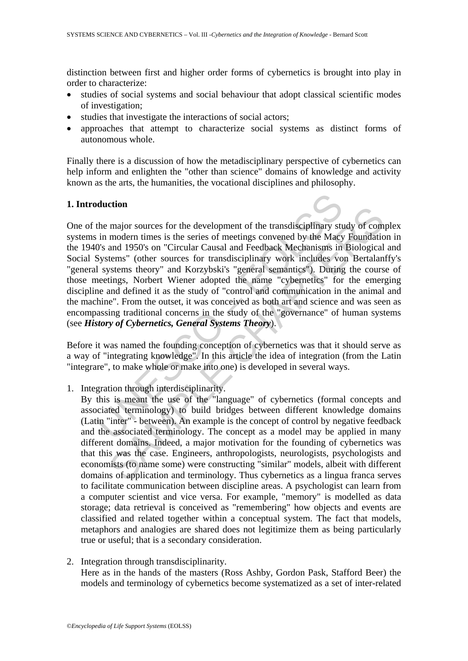distinction between first and higher order forms of cybernetics is brought into play in order to characterize:

- studies of social systems and social behaviour that adopt classical scientific modes of investigation;
- studies that investigate the interactions of social actors;
- approaches that attempt to characterize social systems as distinct forms of autonomous whole.

Finally there is a discussion of how the metadisciplinary perspective of cybernetics can help inform and enlighten the "other than science" domains of knowledge and activity known as the arts, the humanities, the vocational disciplines and philosophy.

## **1. Introduction**

**duction**<br>
the major sources for the development of the transdisciplinary st<br>
in modern times is the series of meetings convened by the Macy<br>
O's and 1950's on "Circular Causal and Feedback Mechanisms in<br>
Systems" (other s community study of community and the transdisciplinary study of commodern times is the series of meetings convendsorband by the Macy Foundation and 1950's on "Circular Causal and Feedback Mechanisms in Biological tems" (ot One of the major sources for the development of the transdisciplinary study of complex systems in modern times is the series of meetings convened by the Macy Foundation in the 1940's and 1950's on "Circular Causal and Feedback Mechanisms in Biological and Social Systems" (other sources for transdisciplinary work includes von Bertalanffy's "general systems theory" and Korzybski's "general semantics"). During the course of those meetings, Norbert Wiener adopted the name "cybernetics" for the emerging discipline and defined it as the study of "control and communication in the animal and the machine". From the outset, it was conceived as both art and science and was seen as encompassing traditional concerns in the study of the "governance" of human systems (see *History of Cybernetics, General Systems Theory*).

Before it was named the founding conception of cybernetics was that it should serve as a way of "integrating knowledge". In this article the idea of integration (from the Latin "integrare", to make whole or make into one) is developed in several ways.

- 1. Integration through interdisciplinarity.
	- By this is meant the use of the "language" of cybernetics (formal concepts and associated terminology) to build bridges between different knowledge domains (Latin "inter" - between). An example is the concept of control by negative feedback and the associated terminology. The concept as a model may be applied in many different domains. Indeed, a major motivation for the founding of cybernetics was that this was the case. Engineers, anthropologists, neurologists, psychologists and economists (to name some) were constructing "similar" models, albeit with different domains of application and terminology. Thus cybernetics as a lingua franca serves to facilitate communication between discipline areas. A psychologist can learn from a computer scientist and vice versa. For example, "memory" is modelled as data storage; data retrieval is conceived as "remembering" how objects and events are classified and related together within a conceptual system. The fact that models, metaphors and analogies are shared does not legitimize them as being particularly true or useful; that is a secondary consideration.
- 2. Integration through transdisciplinarity. Here as in the hands of the masters (Ross Ashby, Gordon Pask, Stafford Beer) the models and terminology of cybernetics become systematized as a set of inter-related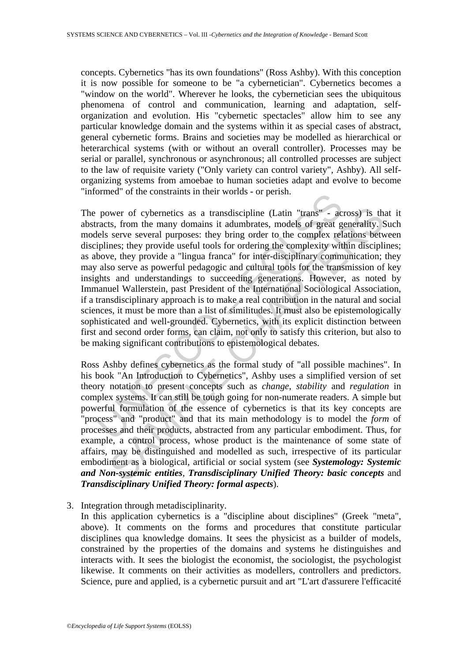concepts. Cybernetics "has its own foundations" (Ross Ashby). With this conception it is now possible for someone to be "a cybernetician". Cybernetics becomes a "window on the world". Wherever he looks, the cybernetician sees the ubiquitous phenomena of control and communication, learning and adaptation, selforganization and evolution. His "cybernetic spectacles" allow him to see any particular knowledge domain and the systems within it as special cases of abstract, general cybernetic forms. Brains and societies may be modelled as hierarchical or heterarchical systems (with or without an overall controller). Processes may be serial or parallel, synchronous or asynchronous; all controlled processes are subject to the law of requisite variety ("Only variety can control variety", Ashby). All selforganizing systems from amoebae to human societies adapt and evolve to become "informed" of the constraints in their worlds - or perish.

onned of the constraints in their worlds - of perisit.<br>
power of cybernetics as a transdiscipline (Latin "trans" - accrets, from the many domains it adumbrates, models of great g<br>
lels serve several purposes: they bring or wer of cybernetics as a transdiscipline (Latin "trans" - across) is thats, from the many domains it adumbrates, models of great generality. Seve several purposes: they bring order to the complex relations between sure, the The power of cybernetics as a transdiscipline (Latin "trans" - across) is that it abstracts, from the many domains it adumbrates, models of great generality. Such models serve several purposes: they bring order to the complex relations between disciplines; they provide useful tools for ordering the complexity within disciplines; as above, they provide a "lingua franca" for inter-disciplinary communication; they may also serve as powerful pedagogic and cultural tools for the transmission of key insights and understandings to succeeding generations. However, as noted by Immanuel Wallerstein, past President of the International Sociological Association, if a transdisciplinary approach is to make a real contribution in the natural and social sciences, it must be more than a list of similitudes. It must also be epistemologically sophisticated and well-grounded. Cybernetics, with its explicit distinction between first and second order forms, can claim, not only to satisfy this criterion, but also to be making significant contributions to epistemological debates.

Ross Ashby defines cybernetics as the formal study of "all possible machines". In his book "An Introduction to Cybernetics", Ashby uses a simplified version of set theory notation to present concepts such as *change*, *stability* and *regulation* in complex systems. It can still be tough going for non-numerate readers. A simple but powerful formulation of the essence of cybernetics is that its key concepts are "process" and "product" and that its main methodology is to model the *form* of processes and their products, abstracted from any particular embodiment. Thus, for example, a control process, whose product is the maintenance of some state of affairs, may be distinguished and modelled as such, irrespective of its particular embodiment as a biological, artificial or social system (see *Systemology: Systemic and Non-systemic entities*, *Transdisciplinary Unified Theory: basic concepts* and *Transdisciplinary Unified Theory: formal aspects*).

3. Integration through metadisciplinarity.

In this application cybernetics is a "discipline about disciplines" (Greek "meta", above). It comments on the forms and procedures that constitute particular disciplines qua knowledge domains. It sees the physicist as a builder of models, constrained by the properties of the domains and systems he distinguishes and interacts with. It sees the biologist the economist, the sociologist, the psychologist likewise. It comments on their activities as modellers, controllers and predictors. Science, pure and applied, is a cybernetic pursuit and art "L'art d'assurere l'efficacité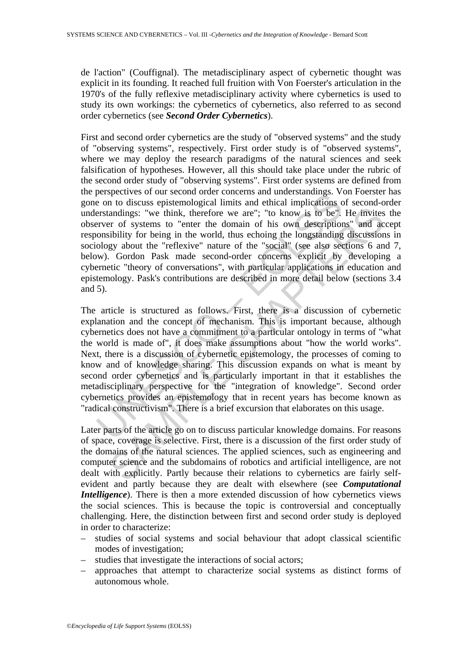de l'action" (Couffignal). The metadisciplinary aspect of cybernetic thought was explicit in its founding. It reached full fruition with Von Foerster's articulation in the 1970's of the fully reflexive metadisciplinary activity where cybernetics is used to study its own workings: the cybernetics of cybernetics, also referred to as second order cybernetics (see *Second Order Cybernetics*).

First and second order cybernetics are the study of "observed systems" and the study of "observing systems", respectively. First order study is of "observed systems", where we may deploy the research paradigms of the natural sciences and seek falsification of hypotheses. However, all this should take place under the rubric of the second order study of "observing systems". First order systems are defined from the perspectives of our second order concerns and understandings. Von Foerster has gone on to discuss epistemological limits and ethical implications of second-order understandings: "we think, therefore we are"; "to know is to be". He invites the observer of systems to "enter the domain of his own descriptions" and accept responsibility for being in the world, thus echoing the longstanding discussions in sociology about the "reflexive" nature of the "social" (see also sections 6 and 7, below). Gordon Pask made second-order concerns explicit by developing a cybernetic "theory of conversations", with particular applications in education and epistemology. Pask's contributions are described in more detail below (sections 3.4 and 5).

besons of our second order concerts and mueristantings. Vertical endines<br>for the control of situal concert control of the first energy of the control of the control of systems to "enter the domain of his own description<br>fo andings: "we think, therefore we are"; "to know is to be". He invites<br>andings: "we think, therefore we are"; "to know is to be". He invites<br>arbitly for being in the world, thus echoing the longational geleavation<br>givality The article is structured as follows. First, there is a discussion of cybernetic explanation and the concept of mechanism. This is important because, although cybernetics does not have a commitment to a particular ontology in terms of "what the world is made of", it does make assumptions about "how the world works". Next, there is a discussion of cybernetic epistemology, the processes of coming to know and of knowledge sharing. This discussion expands on what is meant by second order cybernetics and is particularly important in that it establishes the metadisciplinary perspective for the "integration of knowledge". Second order cybernetics provides an epistemology that in recent years has become known as "radical constructivism". There is a brief excursion that elaborates on this usage.

Later parts of the article go on to discuss particular knowledge domains. For reasons of space, coverage is selective. First, there is a discussion of the first order study of the domains of the natural sciences. The applied sciences, such as engineering and computer science and the subdomains of robotics and artificial intelligence, are not dealt with explicitly. Partly because their relations to cybernetics are fairly selfevident and partly because they are dealt with elsewhere (see *Computational Intelligence*). There is then a more extended discussion of how cybernetics views the social sciences. This is because the topic is controversial and conceptually challenging. Here, the distinction between first and second order study is deployed in order to characterize:

- studies of social systems and social behaviour that adopt classical scientific modes of investigation;
- studies that investigate the interactions of social actors;
- approaches that attempt to characterize social systems as distinct forms of autonomous whole.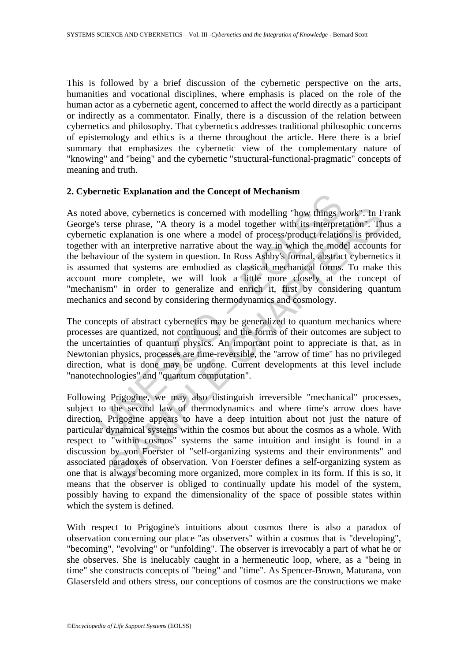This is followed by a brief discussion of the cybernetic perspective on the arts, humanities and vocational disciplines, where emphasis is placed on the role of the human actor as a cybernetic agent, concerned to affect the world directly as a participant or indirectly as a commentator. Finally, there is a discussion of the relation between cybernetics and philosophy. That cybernetics addresses traditional philosophic concerns of epistemology and ethics is a theme throughout the article. Here there is a brief summary that emphasizes the cybernetic view of the complementary nature of "knowing" and "being" and the cybernetic "structural-functional-pragmatic" concepts of meaning and truth.

### **2. Cybernetic Explanation and the Concept of Mechanism**

Thetic Explanation and the Concept of Mechanism<br>d above, cybernetics is concerned with modelling "how things w<br>is terse phrase, "A theory is a model together with its interpret<br>itic explanation is one where a model of proc bove, cybernetics is concerned with modelling "how things work". In Firstee phrase, "A theory is a model together with its interpretation". The explanation is one where a model of process/product relations is provident an As noted above, cybernetics is concerned with modelling "how things work". In Frank George's terse phrase, "A theory is a model together with its interpretation". Thus a cybernetic explanation is one where a model of process/product relations is provided, together with an interpretive narrative about the way in which the model accounts for the behaviour of the system in question. In Ross Ashby's formal, abstract cybernetics it is assumed that systems are embodied as classical mechanical forms. To make this account more complete, we will look a little more closely at the concept of "mechanism" in order to generalize and enrich it, first by considering quantum mechanics and second by considering thermodynamics and cosmology.

The concepts of abstract cybernetics may be generalized to quantum mechanics where processes are quantized, not continuous, and the forms of their outcomes are subject to the uncertainties of quantum physics. An important point to appreciate is that, as in Newtonian physics, processes are time-reversible, the "arrow of time" has no privileged direction, what is done may be undone. Current developments at this level include "nanotechnologies" and "quantum computation".

Following Prigogine, we may also distinguish irreversible "mechanical" processes, subject to the second law of thermodynamics and where time's arrow does have direction. Prigogine appears to have a deep intuition about not just the nature of particular dynamical systems within the cosmos but about the cosmos as a whole. With respect to "within cosmos" systems the same intuition and insight is found in a discussion by von Foerster of "self-organizing systems and their environments" and associated paradoxes of observation. Von Foerster defines a self-organizing system as one that is always becoming more organized, more complex in its form. If this is so, it means that the observer is obliged to continually update his model of the system, possibly having to expand the dimensionality of the space of possible states within which the system is defined.

With respect to Prigogine's intuitions about cosmos there is also a paradox of observation concerning our place "as observers" within a cosmos that is "developing", "becoming", "evolving" or "unfolding". The observer is irrevocably a part of what he or she observes. She is inelucably caught in a hermeneutic loop, where, as a "being in time" she constructs concepts of "being" and "time". As Spencer-Brown, Maturana, von Glasersfeld and others stress, our conceptions of cosmos are the constructions we make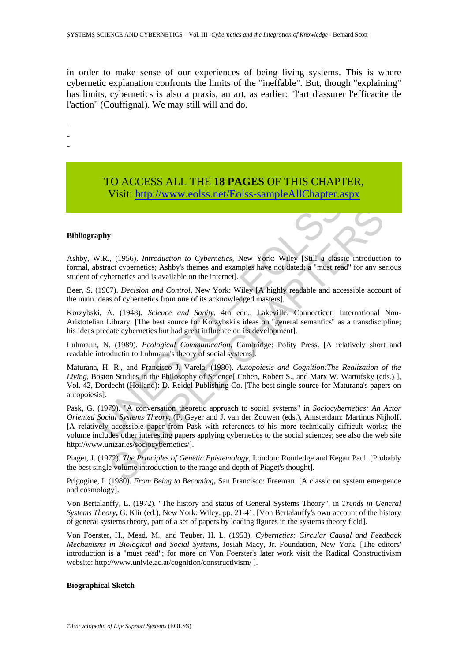in order to make sense of our experiences of being living systems. This is where cybernetic explanation confronts the limits of the "ineffable". But, though "explaining" has limits, cybernetics is also a praxis, an art, as earlier: "l'art d'assurer l'efficacite de l'action" (Couffignal). We may still will and do.

-

- -
- -

# TO ACCESS ALL THE **18 PAGES** OF THIS CHAPTER, Visit: http://www.eolss.net/Eolss-sampleAllChapter.aspx

#### **Bibliography**

Ashby, W.R., (1956). *Introduction to Cybernetics,* New York: Wiley [Still a classic introduction to formal, abstract cybernetics; Ashby's themes and examples have not dated; a "must read" for any serious student of cybernetics and is available on the internet].

Beer, S. (1967). *Decision and Control*, New York: Wiley [A highly readable and accessible account of the main ideas of cybernetics from one of its acknowledged masters].

Korzybski, A. (1948). *Science and Sanity*, 4th edn., Lakeville, Connecticut: International Non-Aristotelian Library. [The best source for Korzybski's ideas on "general semantics" as a transdiscipline; his ideas predate cybernetics but had great influence on its development].

Luhmann, N. (1989). *Ecological Communication*, Cambridge: Polity Press. [A relatively short and readable introductin to Luhmann's theory of social systems].

Maturana, H. R., and Francisco J. Varela, (1980). *Autopoiesis and Cognition:The Realization of the Living*, Boston Studies in the Philosophy of Science [Cohen, Robert S., and Marx W. Wartofsky (eds.) ], Vol. 42, Dordecht (Holland): D. Reidel Publishing Co. [The best single source for Maturana's papers on autopoiesis].

VISIt: **http://www.colss.net/Eolss-sampleAllChapter.a**<br>
W.R., (1956). *Introduction to Cybernetics*, New York: Wiley [Still a class<br>
bstract cybernetics; Ashby's themes and examples have not dated; a "must rea<br>
(1967). *De* Society and Social Society College and Constrainers (1956). *Introduction to Cybernetics*, New York: Wiley [Still a classic introduction to explorencies; Ashby's themes and examples have not dated; a "must read" for any se Pask, G. (1979). "A conversation theoretic approach to social systems" in *Sociocybernetics: An Actor Oriented Social Systems Theory,* (F, Geyer and J. van der Zouwen (eds.), Amsterdam: Martinus Nijholf. [A relatively accessible paper from Pask with references to his more technically difficult works; the volume includes other interesting papers applying cybernetics to the social sciences; see also the web site http://www.unizar.es/sociocybernetics/].

Piaget, J. (1972). *The Principles of Genetic Epistemology*, London: Routledge and Kegan Paul. [Probably the best single volume introduction to the range and depth of Piaget's thought].

Prigogine, I. (1980). *From Being to Becoming***,** San Francisco: Freeman. [A classic on system emergence and cosmology].

Von Bertalanffy, L. (1972). "The history and status of General Systems Theory", in *Trends in General Systems Theory***,** G. Klir (ed.), New York: Wiley, pp. 21-41. [Von Bertalanffy's own account of the history of general systems theory, part of a set of papers by leading figures in the systems theory field].

Von Foerster, H., Mead, M., and Teuber, H. L. (1953). *Cybernetics: Circular Causal and Feedback Mechanisms in Biological and Social Systems*, Josiah Macy, Jr. Foundation, New York. [The editors' introduction is a "must read"; for more on Von Foerster's later work visit the Radical Constructivism website: http://www.univie.ac.at/cognition/constructivism/ ].

#### **Biographical Sketch**